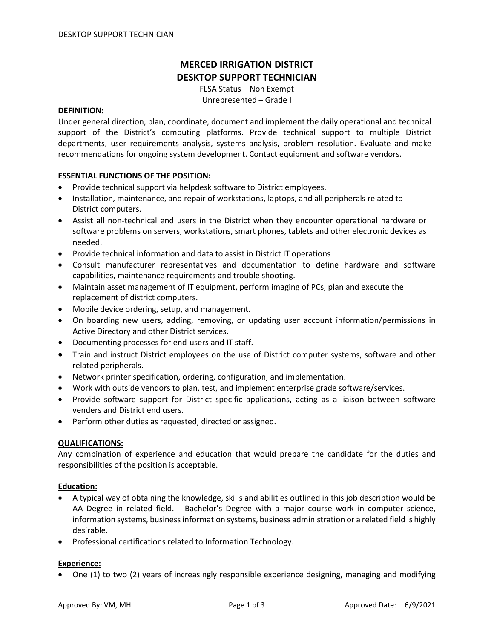# **MERCED IRRIGATION DISTRICT DESKTOP SUPPORT TECHNICIAN**

FLSA Status – Non Exempt Unrepresented – Grade I

### **DEFINITION:**

Under general direction, plan, coordinate, document and implement the daily operational and technical support of the District's computing platforms. Provide technical support to multiple District departments, user requirements analysis, systems analysis, problem resolution. Evaluate and make recommendations for ongoing system development. Contact equipment and software vendors.

## **ESSENTIAL FUNCTIONS OF THE POSITION:**

- Provide technical support via helpdesk software to District employees.
- Installation, maintenance, and repair of workstations, laptops, and all peripherals related to District computers.
- Assist all non-technical end users in the District when they encounter operational hardware or software problems on servers, workstations, smart phones, tablets and other electronic devices as needed.
- Provide technical information and data to assist in District IT operations
- Consult manufacturer representatives and documentation to define hardware and software capabilities, maintenance requirements and trouble shooting.
- Maintain asset management of IT equipment, perform imaging of PCs, plan and execute the replacement of district computers.
- Mobile device ordering, setup, and management.
- On boarding new users, adding, removing, or updating user account information/permissions in Active Directory and other District services.
- Documenting processes for end-users and IT staff.
- Train and instruct District employees on the use of District computer systems, software and other related peripherals.
- Network printer specification, ordering, configuration, and implementation.
- Work with outside vendors to plan, test, and implement enterprise grade software/services.
- Provide software support for District specific applications, acting as a liaison between software venders and District end users.
- Perform other duties as requested, directed or assigned.

### **QUALIFICATIONS:**

Any combination of experience and education that would prepare the candidate for the duties and responsibilities of the position is acceptable.

### **Education:**

- A typical way of obtaining the knowledge, skills and abilities outlined in this job description would be AA Degree in related field. Bachelor's Degree with a major course work in computer science, information systems, business information systems, business administration or a related field is highly desirable.
- Professional certifications related to Information Technology.

### **Experience:**

• One (1) to two (2) years of increasingly responsible experience designing, managing and modifying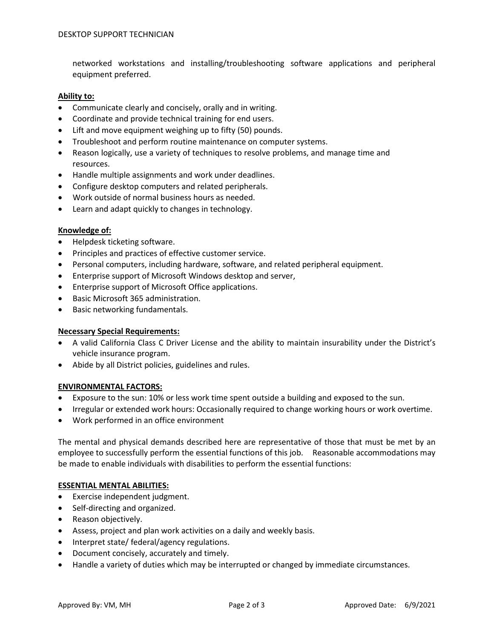networked workstations and installing/troubleshooting software applications and peripheral equipment preferred.

### **Ability to:**

- Communicate clearly and concisely, orally and in writing.
- Coordinate and provide technical training for end users.
- Lift and move equipment weighing up to fifty (50) pounds.
- Troubleshoot and perform routine maintenance on computer systems.
- Reason logically, use a variety of techniques to resolve problems, and manage time and resources.
- Handle multiple assignments and work under deadlines.
- Configure desktop computers and related peripherals.
- Work outside of normal business hours as needed.
- Learn and adapt quickly to changes in technology.

# **Knowledge of:**

- Helpdesk ticketing software.
- Principles and practices of effective customer service.
- Personal computers, including hardware, software, and related peripheral equipment.
- Enterprise support of Microsoft Windows desktop and server,
- Enterprise support of Microsoft Office applications.
- Basic Microsoft 365 administration.
- Basic networking fundamentals.

### **Necessary Special Requirements:**

- A valid California Class C Driver License and the ability to maintain insurability under the District's vehicle insurance program.
- Abide by all District policies, guidelines and rules.

### **ENVIRONMENTAL FACTORS:**

- Exposure to the sun: 10% or less work time spent outside a building and exposed to the sun.
- Irregular or extended work hours: Occasionally required to change working hours or work overtime.
- Work performed in an office environment

The mental and physical demands described here are representative of those that must be met by an employee to successfully perform the essential functions of this job. Reasonable accommodations may be made to enable individuals with disabilities to perform the essential functions:

### **ESSENTIAL MENTAL ABILITIES:**

- Exercise independent judgment.
- Self-directing and organized.
- Reason objectively.
- Assess, project and plan work activities on a daily and weekly basis.
- Interpret state/ federal/agency regulations.
- Document concisely, accurately and timely.
- Handle a variety of duties which may be interrupted or changed by immediate circumstances.